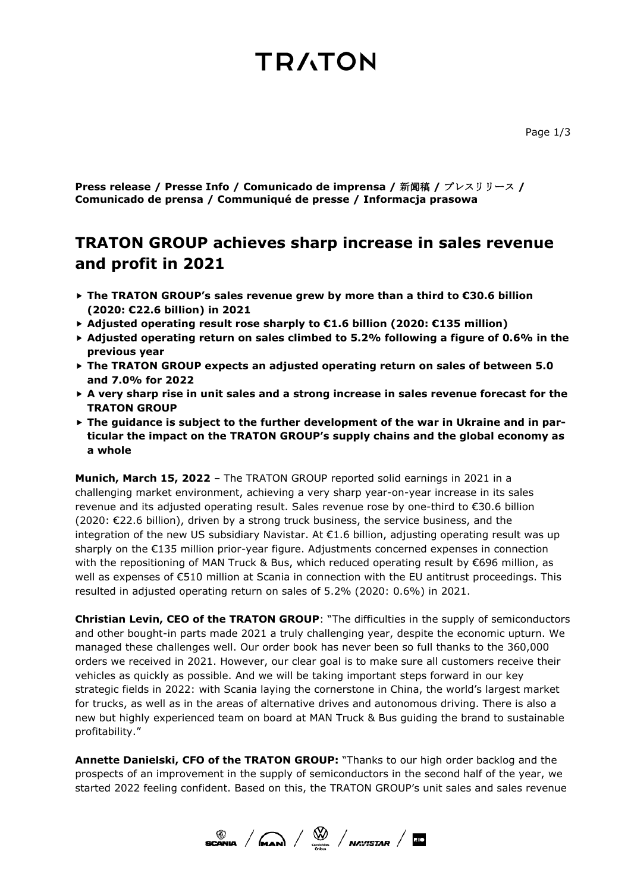# **TRATON**

**Press release / Presse Info / Comunicado de imprensa /** 新闻稿 **/** プレスリリース **/ Comunicado de prensa / Communiqué de presse / Informacja prasowa**

## **TRATON GROUP achieves sharp increase in sales revenue and profit in 2021**

- **The TRATON GROUP's sales revenue grew by more than a third to €30.6 billion (2020: €22.6 billion) in 2021**
- **Adjusted operating result rose sharply to €1.6 billion (2020: €135 million)**
- **Adjusted operating return on sales climbed to 5.2% following a figure of 0.6% in the previous year**
- **The TRATON GROUP expects an adjusted operating return on sales of between 5.0 and 7.0% for 2022**
- **A very sharp rise in unit sales and a strong increase in sales revenue forecast for the TRATON GROUP**
- **The guidance is subject to the further development of the war in Ukraine and in particular the impact on the TRATON GROUP's supply chains and the global economy as a whole**

**Munich, March 15, 2022** – The TRATON GROUP reported solid earnings in 2021 in a challenging market environment, achieving a very sharp year-on-year increase in its sales revenue and its adjusted operating result. Sales revenue rose by one-third to €30.6 billion (2020: €22.6 billion), driven by a strong truck business, the service business, and the integration of the new US subsidiary Navistar. At  $\epsilon$ 1.6 billion, adjusting operating result was up sharply on the €135 million prior-year figure. Adjustments concerned expenses in connection with the repositioning of MAN Truck & Bus, which reduced operating result by €696 million, as well as expenses of €510 million at Scania in connection with the EU antitrust proceedings. This resulted in adjusted operating return on sales of 5.2% (2020: 0.6%) in 2021.

**Christian Levin, CEO of the TRATON GROUP**: "The difficulties in the supply of semiconductors and other bought-in parts made 2021 a truly challenging year, despite the economic upturn. We managed these challenges well. Our order book has never been so full thanks to the 360,000 orders we received in 2021. However, our clear goal is to make sure all customers receive their vehicles as quickly as possible. And we will be taking important steps forward in our key strategic fields in 2022: with Scania laying the cornerstone in China, the world's largest market for trucks, as well as in the areas of alternative drives and autonomous driving. There is also a new but highly experienced team on board at MAN Truck & Bus guiding the brand to sustainable profitability."

**Annette Danielski, CFO of the TRATON GROUP:** "Thanks to our high order backlog and the prospects of an improvement in the supply of semiconductors in the second half of the year, we started 2022 feeling confident. Based on this, the TRATON GROUP's unit sales and sales revenue

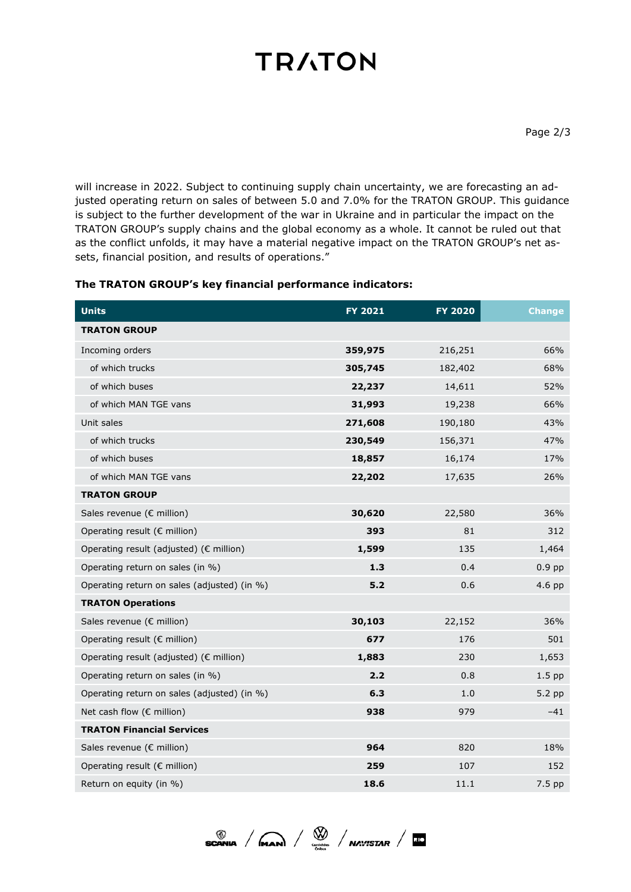# **TRATON**

will increase in 2022. Subject to continuing supply chain uncertainty, we are forecasting an adjusted operating return on sales of between 5.0 and 7.0% for the TRATON GROUP. This guidance is subject to the further development of the war in Ukraine and in particular the impact on the TRATON GROUP's supply chains and the global economy as a whole. It cannot be ruled out that as the conflict unfolds, it may have a material negative impact on the TRATON GROUP's net assets, financial position, and results of operations."

### **The TRATON GROUP's key financial performance indicators:**

| <b>Units</b>                                | <b>FY 2021</b> | <b>FY 2020</b> | <b>Change</b> |
|---------------------------------------------|----------------|----------------|---------------|
| <b>TRATON GROUP</b>                         |                |                |               |
| Incoming orders                             | 359,975        | 216,251        | 66%           |
| of which trucks                             | 305,745        | 182,402        | 68%           |
| of which buses                              | 22,237         | 14,611         | 52%           |
| of which MAN TGE vans                       | 31,993         | 19,238         | 66%           |
| Unit sales                                  | 271,608        | 190,180        | 43%           |
| of which trucks                             | 230,549        | 156,371        | 47%           |
| of which buses                              | 18,857         | 16,174         | 17%           |
| of which MAN TGE vans                       | 22,202         | 17,635         | 26%           |
| <b>TRATON GROUP</b>                         |                |                |               |
| Sales revenue (€ million)                   | 30,620         | 22,580         | 36%           |
| Operating result (€ million)                | 393            | 81             | 312           |
| Operating result (adjusted) (€ million)     | 1,599          | 135            | 1,464         |
| Operating return on sales (in %)            | 1.3            | 0.4            | $0.9$ pp      |
| Operating return on sales (adjusted) (in %) | 5.2            | 0.6            | 4.6 pp        |
| <b>TRATON Operations</b>                    |                |                |               |
| Sales revenue (€ million)                   | 30,103         | 22,152         | 36%           |
| Operating result (€ million)                | 677            | 176            | 501           |
| Operating result (adjusted) (€ million)     | 1,883          | 230            | 1,653         |
| Operating return on sales (in %)            | 2.2            | 0.8            | $1.5$ pp      |
| Operating return on sales (adjusted) (in %) | 6.3            | 1.0            | 5.2 pp        |
| Net cash flow (€ million)                   | 938            | 979            | $-41$         |
| <b>TRATON Financial Services</b>            |                |                |               |
| Sales revenue (€ million)                   | 964            | 820            | 18%           |
| Operating result (€ million)                | 259            | 107            | 152           |
| Return on equity (in %)                     | 18.6           | 11.1           | 7.5 pp        |